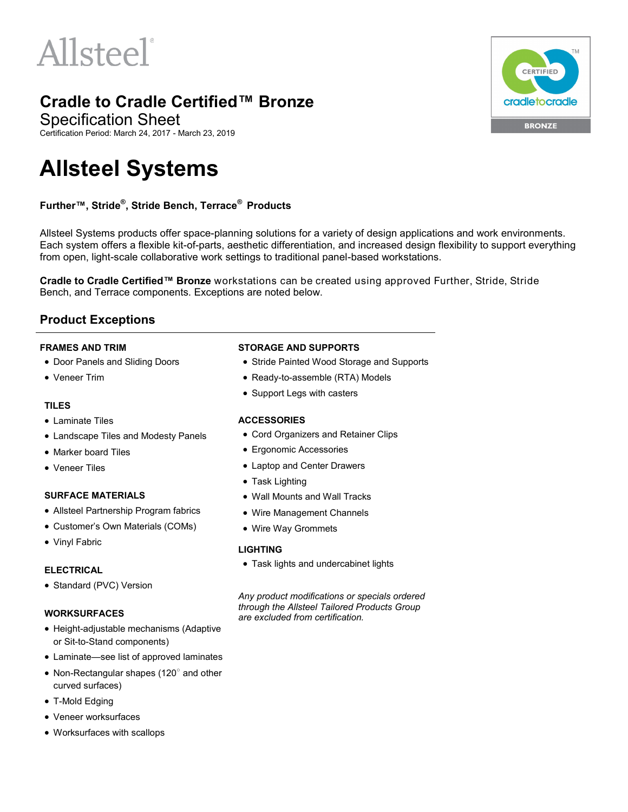# Allsteel

### **Cradle to Cradle Certified™ Bronze**

Specification Sheet

Certification Period: March 24, 2017 - March 23, 2019

## **Allsteel Systems**

#### **Further™, Stride® , Stride Bench, Terrace® Products**

Allsteel Systems products offer space-planning solutions for a variety of design applications and work environments. Each system offers a flexible kit-of-parts, aesthetic differentiation, and increased design flexibility to support everything from open, light-scale collaborative work settings to traditional panel-based workstations.

**Cradle to Cradle Certified™ Bronze** workstations can be created using approved Further, Stride, Stride Bench, and Terrace components. Exceptions are noted below.

#### **Product Exceptions**

#### **FRAMES AND TRIM**

- Door Panels and Sliding Doors
- Veneer Trim

#### **TILES**

- Laminate Tiles
- Landscape Tiles and Modesty Panels
- Marker board Tiles
- Veneer Tiles

#### **SURFACE MATERIALS**

- Allsteel Partnership Program fabrics
- Customer's Own Materials (COMs)
- Vinyl Fabric

#### **ELECTRICAL**

• Standard (PVC) Version

#### **WORKSURFACES**

- Height-adjustable mechanisms (Adaptive or Sit-to-Stand components)
- Laminate—see list of approved laminates
- Non-Rectangular shapes (120° and other curved surfaces)
- T-Mold Edging
- Veneer worksurfaces
- Worksurfaces with scallops

#### **STORAGE AND SUPPORTS**

- Stride Painted Wood Storage and Supports
- Ready-to-assemble (RTA) Models
- Support Legs with casters

#### **ACCESSORIES**

- Cord Organizers and Retainer Clips
- Ergonomic Accessories
- Laptop and Center Drawers
- Task Lighting
- Wall Mounts and Wall Tracks
- Wire Management Channels
- Wire Way Grommets

#### **LIGHTING**

Task lights and undercabinet lights

*Any product modifications or specials ordered through the Allsteel Tailored Products Group are excluded from certification.*